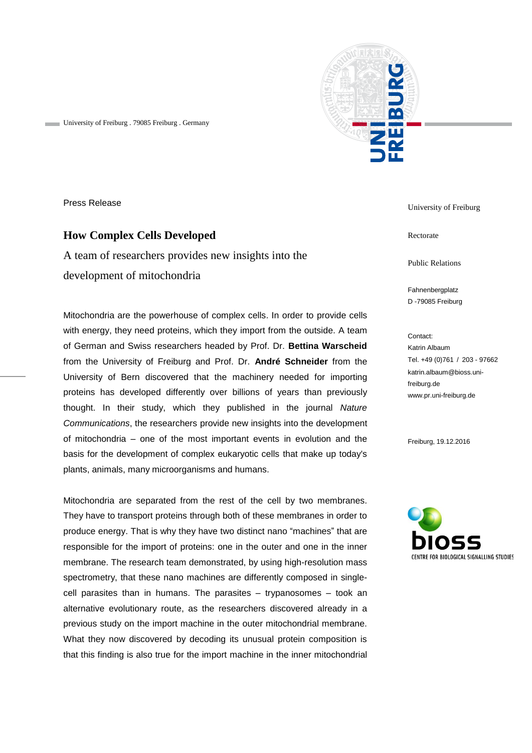

University of Freiburg . 79085 Freiburg . Germany

Press Release

## **How Complex Cells Developed**

A team of researchers provides new insights into the development of mitochondria

Mitochondria are the powerhouse of complex cells. In order to provide cells with energy, they need proteins, which they import from the outside. A team of German and Swiss researchers headed by Prof. Dr. **Bettina Warscheid**  from the University of Freiburg and Prof. Dr. **André Schneider** from the University of Bern discovered that the machinery needed for importing proteins has developed differently over billions of years than previously thought. In their study, which they published in the journal *Nature Communications*, the researchers provide new insights into the development of mitochondria – one of the most important events in evolution and the basis for the development of complex eukaryotic cells that make up today's plants, animals, many microorganisms and humans.

Mitochondria are separated from the rest of the cell by two membranes. They have to transport proteins through both of these membranes in order to produce energy. That is why they have two distinct nano "machines" that are responsible for the import of proteins: one in the outer and one in the inner membrane. The research team demonstrated, by using high-resolution mass spectrometry, that these nano machines are differently composed in singlecell parasites than in humans. The parasites – trypanosomes – took an alternative evolutionary route, as the researchers discovered already in a previous study on the import machine in the outer mitochondrial membrane. What they now discovered by decoding its unusual protein composition is that this finding is also true for the import machine in the inner mitochondrial

University of Freiburg

Rectorate

Public Relations

Fahnenbergplatz D -79085 Freiburg

Contact: Katrin Albaum Tel. +49 (0)761 / 203 - 97662 katrin.albaum@bioss.unifreiburg.de www.pr.uni-freiburg.de

Freiburg, 19.12.2016

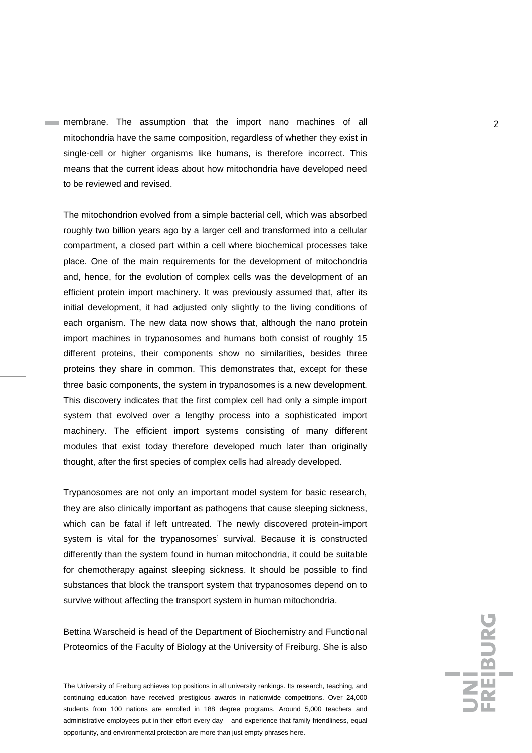membrane. The assumption that the import nano machines of all **2** mitochondria have the same composition, regardless of whether they exist in single-cell or higher organisms like humans, is therefore incorrect. This means that the current ideas about how mitochondria have developed need to be reviewed and revised.

The mitochondrion evolved from a simple bacterial cell, which was absorbed roughly two billion years ago by a larger cell and transformed into a cellular compartment, a closed part within a cell where biochemical processes take place. One of the main requirements for the development of mitochondria and, hence, for the evolution of complex cells was the development of an efficient protein import machinery. It was previously assumed that, after its initial development, it had adjusted only slightly to the living conditions of each organism. The new data now shows that, although the nano protein import machines in trypanosomes and humans both consist of roughly 15 different proteins, their components show no similarities, besides three proteins they share in common. This demonstrates that, except for these three basic components, the system in trypanosomes is a new development. This discovery indicates that the first complex cell had only a simple import system that evolved over a lengthy process into a sophisticated import machinery. The efficient import systems consisting of many different modules that exist today therefore developed much later than originally thought, after the first species of complex cells had already developed.

Trypanosomes are not only an important model system for basic research, they are also clinically important as pathogens that cause sleeping sickness, which can be fatal if left untreated. The newly discovered protein-import system is vital for the trypanosomes' survival. Because it is constructed differently than the system found in human mitochondria, it could be suitable for chemotherapy against sleeping sickness. It should be possible to find substances that block the transport system that trypanosomes depend on to survive without affecting the transport system in human mitochondria.

Bettina Warscheid is head of the Department of Biochemistry and Functional Proteomics of the Faculty of Biology at the University of Freiburg. She is also

The University of Freiburg achieves top positions in all university rankings. Its research, teaching, and continuing education have received prestigious awards in nationwide competitions. Over 24,000 students from 100 nations are enrolled in 188 degree programs. Around 5,000 teachers and administrative employees put in their effort every day – and experience that family friendliness, equal opportunity, and environmental protection are more than just empty phrases here.